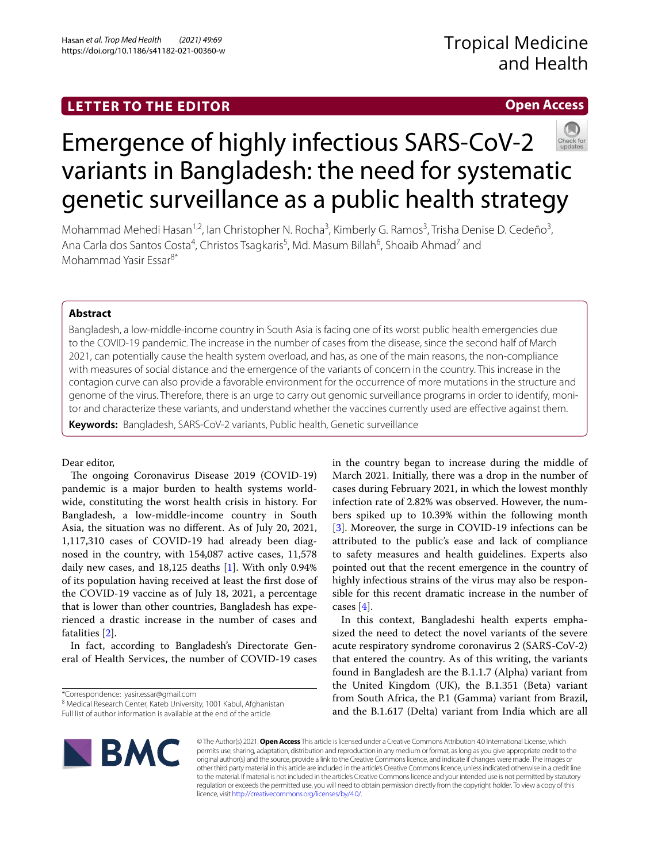# **LETTER TO THE EDITOR**

# **Open Access**



# Emergence of highly infectious SARS-CoV-2 variants in Bangladesh: the need for systematic genetic surveillance as a public health strategy

Mohammad Mehedi Hasan<sup>1,2</sup>, Ian Christopher N. Rocha<sup>3</sup>, Kimberly G. Ramos<sup>3</sup>, Trisha Denise D. Cedeño<sup>3</sup>, Ana Carla dos Santos Costa<sup>4</sup>, Christos Tsagkaris<sup>5</sup>, Md. Masum Billah<sup>6</sup>, Shoaib Ahmad<sup>7</sup> and Mohammad Yasir Essar8\*

# **Abstract**

Bangladesh, a low-middle-income country in South Asia is facing one of its worst public health emergencies due to the COVID-19 pandemic. The increase in the number of cases from the disease, since the second half of March 2021, can potentially cause the health system overload, and has, as one of the main reasons, the non-compliance with measures of social distance and the emergence of the variants of concern in the country. This increase in the contagion curve can also provide a favorable environment for the occurrence of more mutations in the structure and genome of the virus. Therefore, there is an urge to carry out genomic surveillance programs in order to identify, monitor and characterize these variants, and understand whether the vaccines currently used are efective against them.

**Keywords:** Bangladesh, SARS-CoV-2 variants, Public health, Genetic surveillance

# Dear editor,

The ongoing Coronavirus Disease 2019 (COVID-19) pandemic is a major burden to health systems worldwide, constituting the worst health crisis in history. For Bangladesh, a low-middle-income country in South Asia, the situation was no diferent. As of July 20, 2021, 1,117,310 cases of COVID-19 had already been diagnosed in the country, with 154,087 active cases, 11,578 daily new cases, and 18,125 deaths [\[1](#page-2-0)]. With only 0.94% of its population having received at least the frst dose of the COVID-19 vaccine as of July 18, 2021, a percentage that is lower than other countries, Bangladesh has experienced a drastic increase in the number of cases and fatalities [[2\]](#page-2-1).

In fact, according to Bangladesh's Directorate General of Health Services, the number of COVID-19 cases

\*Correspondence: yasir.essar@gmail.com

Full list of author information is available at the end of the article

in the country began to increase during the middle of March 2021. Initially, there was a drop in the number of cases during February 2021, in which the lowest monthly infection rate of 2.82% was observed. However, the numbers spiked up to 10.39% within the following month [[3\]](#page-2-2). Moreover, the surge in COVID-19 infections can be attributed to the public's ease and lack of compliance to safety measures and health guidelines. Experts also pointed out that the recent emergence in the country of highly infectious strains of the virus may also be responsible for this recent dramatic increase in the number of cases [\[4](#page-2-3)].

In this context, Bangladeshi health experts emphasized the need to detect the novel variants of the severe acute respiratory syndrome coronavirus 2 (SARS-CoV-2) that entered the country. As of this writing, the variants found in Bangladesh are the B.1.1.7 (Alpha) variant from the United Kingdom (UK), the B.1.351 (Beta) variant from South Africa, the P.1 (Gamma) variant from Brazil, and the B.1.617 (Delta) variant from India which are all



© The Author(s) 2021. **Open Access** This article is licensed under a Creative Commons Attribution 4.0 International License, which permits use, sharing, adaptation, distribution and reproduction in any medium or format, as long as you give appropriate credit to the original author(s) and the source, provide a link to the Creative Commons licence, and indicate if changes were made. The images or other third party material in this article are included in the article's Creative Commons licence, unless indicated otherwise in a credit line to the material. If material is not included in the article's Creative Commons licence and your intended use is not permitted by statutory regulation or exceeds the permitted use, you will need to obtain permission directly from the copyright holder. To view a copy of this licence, visit [http://creativecommons.org/licenses/by/4.0/.](http://creativecommons.org/licenses/by/4.0/)

<sup>&</sup>lt;sup>8</sup> Medical Research Center, Kateb University, 1001 Kabul, Afghanistan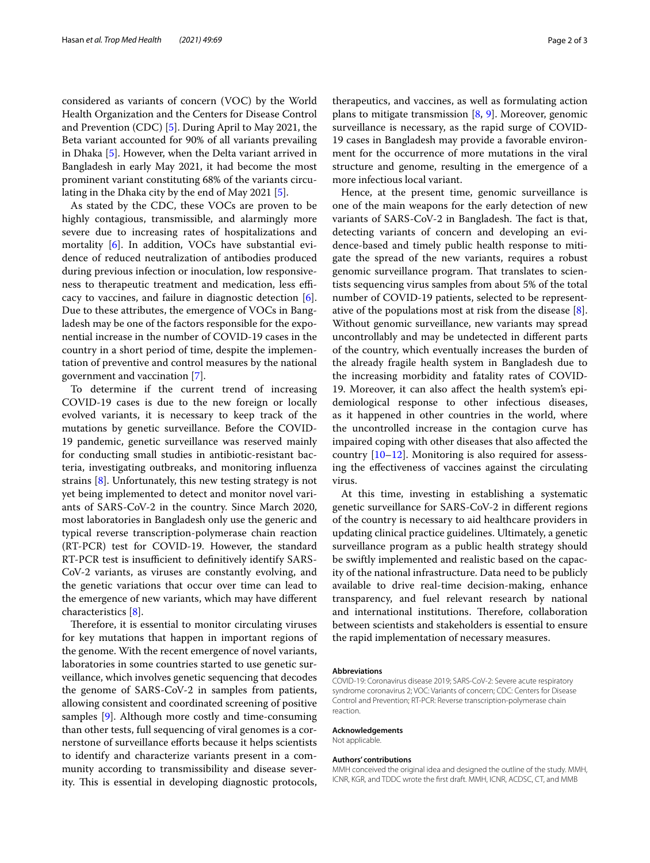considered as variants of concern (VOC) by the World Health Organization and the Centers for Disease Control and Prevention (CDC) [[5](#page-2-4)]. During April to May 2021, the Beta variant accounted for 90% of all variants prevailing in Dhaka [[5\]](#page-2-4). However, when the Delta variant arrived in Bangladesh in early May 2021, it had become the most prominent variant constituting 68% of the variants circulating in the Dhaka city by the end of May 2021 [\[5](#page-2-4)].

As stated by the CDC, these VOCs are proven to be highly contagious, transmissible, and alarmingly more severe due to increasing rates of hospitalizations and mortality [[6\]](#page-2-5). In addition, VOCs have substantial evidence of reduced neutralization of antibodies produced during previous infection or inoculation, low responsiveness to therapeutic treatment and medication, less efficacy to vaccines, and failure in diagnostic detection [\[6](#page-2-5)]. Due to these attributes, the emergence of VOCs in Bangladesh may be one of the factors responsible for the exponential increase in the number of COVID-19 cases in the country in a short period of time, despite the implementation of preventive and control measures by the national government and vaccination [\[7](#page-2-6)].

To determine if the current trend of increasing COVID-19 cases is due to the new foreign or locally evolved variants, it is necessary to keep track of the mutations by genetic surveillance. Before the COVID-19 pandemic, genetic surveillance was reserved mainly for conducting small studies in antibiotic-resistant bacteria, investigating outbreaks, and monitoring infuenza strains [[8\]](#page-2-7). Unfortunately, this new testing strategy is not yet being implemented to detect and monitor novel variants of SARS-CoV-2 in the country. Since March 2020, most laboratories in Bangladesh only use the generic and typical reverse transcription-polymerase chain reaction (RT-PCR) test for COVID-19. However, the standard RT-PCR test is insufficient to definitively identify SARS-CoV-2 variants, as viruses are constantly evolving, and the genetic variations that occur over time can lead to the emergence of new variants, which may have diferent characteristics [\[8](#page-2-7)].

Therefore, it is essential to monitor circulating viruses for key mutations that happen in important regions of the genome. With the recent emergence of novel variants, laboratories in some countries started to use genetic surveillance, which involves genetic sequencing that decodes the genome of SARS-CoV-2 in samples from patients, allowing consistent and coordinated screening of positive samples [\[9\]](#page-2-8). Although more costly and time-consuming than other tests, full sequencing of viral genomes is a cornerstone of surveillance eforts because it helps scientists to identify and characterize variants present in a community according to transmissibility and disease severity. This is essential in developing diagnostic protocols, therapeutics, and vaccines, as well as formulating action plans to mitigate transmission  $[8, 9]$  $[8, 9]$  $[8, 9]$  $[8, 9]$ . Moreover, genomic surveillance is necessary, as the rapid surge of COVID-19 cases in Bangladesh may provide a favorable environment for the occurrence of more mutations in the viral structure and genome, resulting in the emergence of a more infectious local variant.

Hence, at the present time, genomic surveillance is one of the main weapons for the early detection of new variants of SARS-CoV-2 in Bangladesh. The fact is that, detecting variants of concern and developing an evidence-based and timely public health response to mitigate the spread of the new variants, requires a robust genomic surveillance program. That translates to scientists sequencing virus samples from about 5% of the total number of COVID-19 patients, selected to be representative of the populations most at risk from the disease [\[8](#page-2-7)]. Without genomic surveillance, new variants may spread uncontrollably and may be undetected in diferent parts of the country, which eventually increases the burden of the already fragile health system in Bangladesh due to the increasing morbidity and fatality rates of COVID-19. Moreover, it can also afect the health system's epidemiological response to other infectious diseases, as it happened in other countries in the world, where the uncontrolled increase in the contagion curve has impaired coping with other diseases that also afected the country  $[10-12]$  $[10-12]$  $[10-12]$ . Monitoring is also required for assessing the efectiveness of vaccines against the circulating virus.

At this time, investing in establishing a systematic genetic surveillance for SARS-CoV-2 in diferent regions of the country is necessary to aid healthcare providers in updating clinical practice guidelines. Ultimately, a genetic surveillance program as a public health strategy should be swiftly implemented and realistic based on the capacity of the national infrastructure. Data need to be publicly available to drive real-time decision-making, enhance transparency, and fuel relevant research by national and international institutions. Therefore, collaboration between scientists and stakeholders is essential to ensure the rapid implementation of necessary measures.

#### **Abbreviations**

COVID-19: Coronavirus disease 2019; SARS-CoV-2: Severe acute respiratory syndrome coronavirus 2; VOC: Variants of concern; CDC: Centers for Disease Control and Prevention; RT-PCR: Reverse transcription-polymerase chain reaction.

#### **Acknowledgements**

Not applicable.

#### **Authors' contributions**

MMH conceived the original idea and designed the outline of the study. MMH, ICNR, KGR, and TDDC wrote the frst draft. MMH, ICNR, ACDSC, CT, and MMB